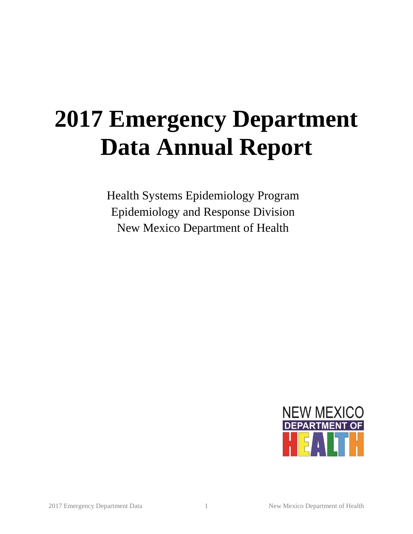# **2017 Emergency Department Data Annual Report**

Health Systems Epidemiology Program Epidemiology and Response Division New Mexico Department of Health

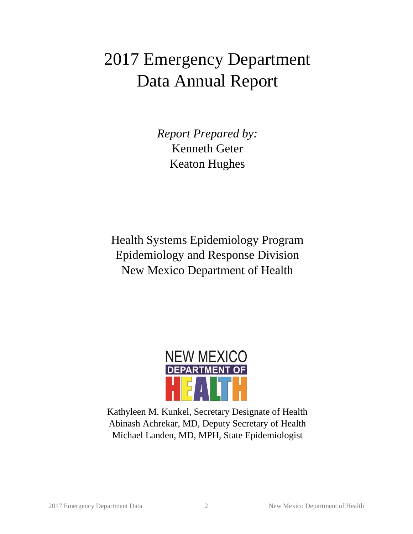## 2017 Emergency Department Data Annual Report

*Report Prepared by:* Kenneth Geter Keaton Hughes

Health Systems Epidemiology Program Epidemiology and Response Division New Mexico Department of Health



Kathyleen M. Kunkel, Secretary Designate of Health Abinash Achrekar, MD, Deputy Secretary of Health Michael Landen, MD, MPH, State Epidemiologist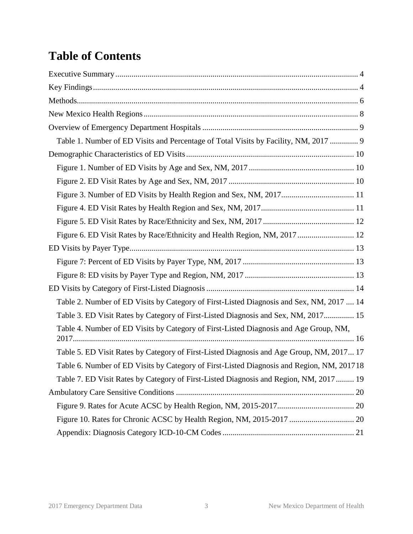## **Table of Contents**

| Table 1. Number of ED Visits and Percentage of Total Visits by Facility, NM, 2017  9      |
|-------------------------------------------------------------------------------------------|
|                                                                                           |
|                                                                                           |
|                                                                                           |
| Figure 3. Number of ED Visits by Health Region and Sex, NM, 2017 11                       |
|                                                                                           |
|                                                                                           |
| Figure 6. ED Visit Rates by Race/Ethnicity and Health Region, NM, 2017 12                 |
|                                                                                           |
|                                                                                           |
|                                                                                           |
|                                                                                           |
| Table 2. Number of ED Visits by Category of First-Listed Diagnosis and Sex, NM, 2017  14  |
| Table 3. ED Visit Rates by Category of First-Listed Diagnosis and Sex, NM, 2017 15        |
| Table 4. Number of ED Visits by Category of First-Listed Diagnosis and Age Group, NM,     |
| Table 5. ED Visit Rates by Category of First-Listed Diagnosis and Age Group, NM, 2017 17  |
| Table 6. Number of ED Visits by Category of First-Listed Diagnosis and Region, NM, 201718 |
| Table 7. ED Visit Rates by Category of First-Listed Diagnosis and Region, NM, 2017 19     |
|                                                                                           |
|                                                                                           |
|                                                                                           |
|                                                                                           |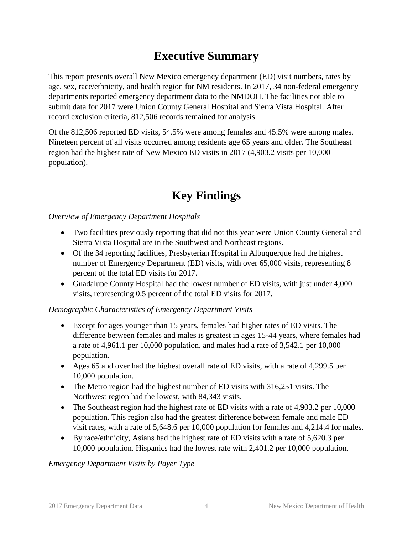#### **Executive Summary**

<span id="page-3-0"></span>This report presents overall New Mexico emergency department (ED) visit numbers, rates by age, sex, race/ethnicity, and health region for NM residents. In 2017, 34 non-federal emergency departments reported emergency department data to the NMDOH. The facilities not able to submit data for 2017 were Union County General Hospital and Sierra Vista Hospital. After record exclusion criteria, 812,506 records remained for analysis.

Of the 812,506 reported ED visits, 54.5% were among females and 45.5% were among males. Nineteen percent of all visits occurred among residents age 65 years and older. The Southeast region had the highest rate of New Mexico ED visits in 2017 (4,903.2 visits per 10,000 population).

#### **Key Findings**

<span id="page-3-1"></span>*Overview of Emergency Department Hospitals*

- Two facilities previously reporting that did not this year were Union County General and Sierra Vista Hospital are in the Southwest and Northeast regions.
- Of the 34 reporting facilities, Presbyterian Hospital in Albuquerque had the highest number of Emergency Department (ED) visits, with over 65,000 visits, representing 8 percent of the total ED visits for 2017.
- Guadalupe County Hospital had the lowest number of ED visits, with just under 4,000 visits, representing 0.5 percent of the total ED visits for 2017.

#### *Demographic Characteristics of Emergency Department Visits*

- Except for ages younger than 15 years, females had higher rates of ED visits. The difference between females and males is greatest in ages 15-44 years, where females had a rate of 4,961.1 per 10,000 population, and males had a rate of 3,542.1 per 10,000 population.
- Ages 65 and over had the highest overall rate of ED visits, with a rate of 4,299.5 per 10,000 population.
- The Metro region had the highest number of ED visits with 316,251 visits. The Northwest region had the lowest, with 84,343 visits.
- The Southeast region had the highest rate of ED visits with a rate of 4,903.2 per 10,000 population. This region also had the greatest difference between female and male ED visit rates, with a rate of 5,648.6 per 10,000 population for females and 4,214.4 for males.
- By race/ethnicity, Asians had the highest rate of ED visits with a rate of 5,620.3 per 10,000 population. Hispanics had the lowest rate with 2,401.2 per 10,000 population.

*Emergency Department Visits by Payer Type*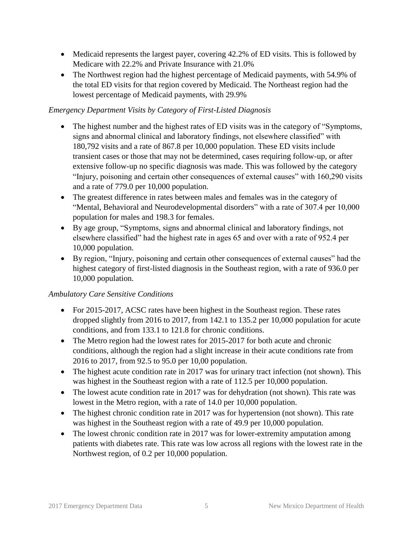- Medicaid represents the largest payer, covering 42.2% of ED visits. This is followed by Medicare with 22.2% and Private Insurance with 21.0%
- The Northwest region had the highest percentage of Medicaid payments, with 54.9% of the total ED visits for that region covered by Medicaid. The Northeast region had the lowest percentage of Medicaid payments, with 29.9%

#### *Emergency Department Visits by Category of First-Listed Diagnosis*

- The highest number and the highest rates of ED visits was in the category of "Symptoms, signs and abnormal clinical and laboratory findings, not elsewhere classified" with 180,792 visits and a rate of 867.8 per 10,000 population. These ED visits include transient cases or those that may not be determined, cases requiring follow-up, or after extensive follow-up no specific diagnosis was made. This was followed by the category "Injury, poisoning and certain other consequences of external causes" with 160,290 visits and a rate of 779.0 per 10,000 population.
- The greatest difference in rates between males and females was in the category of "Mental, Behavioral and Neurodevelopmental disorders" with a rate of 307.4 per 10,000 population for males and 198.3 for females.
- By age group, "Symptoms, signs and abnormal clinical and laboratory findings, not elsewhere classified" had the highest rate in ages 65 and over with a rate of 952.4 per 10,000 population.
- By region, "Injury, poisoning and certain other consequences of external causes" had the highest category of first-listed diagnosis in the Southeast region, with a rate of 936.0 per 10,000 population.

#### *Ambulatory Care Sensitive Conditions*

- For 2015-2017, ACSC rates have been highest in the Southeast region. These rates dropped slightly from 2016 to 2017, from 142.1 to 135.2 per 10,000 population for acute conditions, and from 133.1 to 121.8 for chronic conditions.
- The Metro region had the lowest rates for 2015-2017 for both acute and chronic conditions, although the region had a slight increase in their acute conditions rate from 2016 to 2017, from 92.5 to 95.0 per 10,00 population.
- The highest acute condition rate in 2017 was for urinary tract infection (not shown). This was highest in the Southeast region with a rate of 112.5 per 10,000 population.
- The lowest acute condition rate in 2017 was for dehydration (not shown). This rate was lowest in the Metro region, with a rate of 14.0 per 10,000 population.
- The highest chronic condition rate in 2017 was for hypertension (not shown). This rate was highest in the Southeast region with a rate of 49.9 per 10,000 population.
- The lowest chronic condition rate in 2017 was for lower-extremity amputation among patients with diabetes rate. This rate was low across all regions with the lowest rate in the Northwest region, of 0.2 per 10,000 population.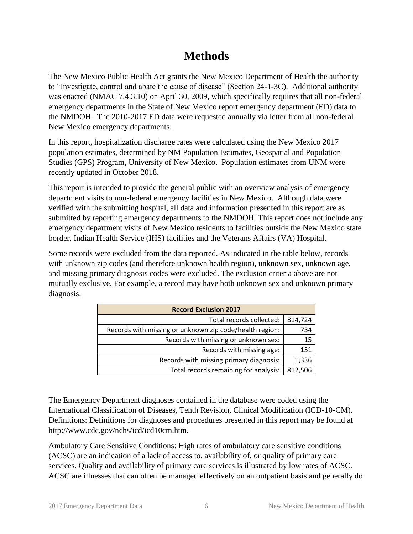#### **Methods**

<span id="page-5-0"></span>The New Mexico Public Health Act grants the New Mexico Department of Health the authority to "Investigate, control and abate the cause of disease" (Section 24-1-3C). Additional authority was enacted (NMAC 7.4.3.10) on April 30, 2009, which specifically requires that all non-federal emergency departments in the State of New Mexico report emergency department (ED) data to the NMDOH. The 2010-2017 ED data were requested annually via letter from all non-federal New Mexico emergency departments.

In this report, hospitalization discharge rates were calculated using the New Mexico 2017 population estimates, determined by NM Population Estimates, Geospatial and Population Studies (GPS) Program, University of New Mexico. Population estimates from UNM were recently updated in October 2018.

This report is intended to provide the general public with an overview analysis of emergency department visits to non-federal emergency facilities in New Mexico. Although data were verified with the submitting hospital, all data and information presented in this report are as submitted by reporting emergency departments to the NMDOH. This report does not include any emergency department visits of New Mexico residents to facilities outside the New Mexico state border, Indian Health Service (IHS) facilities and the Veterans Affairs (VA) Hospital.

Some records were excluded from the data reported. As indicated in the table below, records with unknown zip codes (and therefore unknown health region), unknown sex, unknown age, and missing primary diagnosis codes were excluded. The exclusion criteria above are not mutually exclusive. For example, a record may have both unknown sex and unknown primary diagnosis.

| <b>Record Exclusion 2017</b>                            |         |  |  |  |  |
|---------------------------------------------------------|---------|--|--|--|--|
| Total records collected:                                | 814,724 |  |  |  |  |
| Records with missing or unknown zip code/health region: | 734     |  |  |  |  |
| Records with missing or unknown sex:                    | 15      |  |  |  |  |
| Records with missing age:                               | 151     |  |  |  |  |
| Records with missing primary diagnosis:                 | 1,336   |  |  |  |  |
| Total records remaining for analysis:                   | 812,506 |  |  |  |  |

The Emergency Department diagnoses contained in the database were coded using the International Classification of Diseases, Tenth Revision, Clinical Modification (ICD-10-CM). Definitions: Definitions for diagnoses and procedures presented in this report may be found at http://www.cdc.gov/nchs/icd/icd10cm.htm.

Ambulatory Care Sensitive Conditions: High rates of ambulatory care sensitive conditions (ACSC) are an indication of a lack of access to, availability of, or quality of primary care services. Quality and availability of primary care services is illustrated by low rates of ACSC. ACSC are illnesses that can often be managed effectively on an outpatient basis and generally do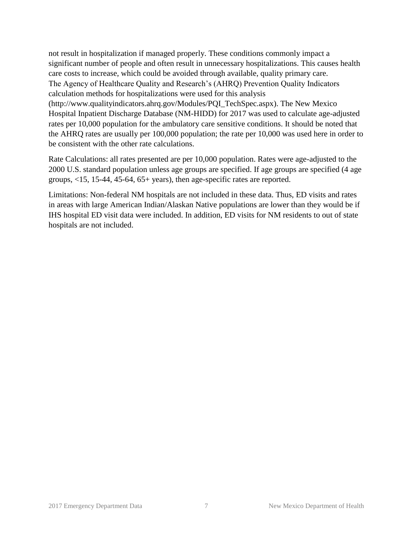not result in hospitalization if managed properly. These conditions commonly impact a significant number of people and often result in unnecessary hospitalizations. This causes health care costs to increase, which could be avoided through available, quality primary care. The Agency of Healthcare Quality and Research's (AHRQ) Prevention Quality Indicators calculation methods for hospitalizations were used for this analysis (http://www.qualityindicators.ahrq.gov/Modules/PQI\_TechSpec.aspx). The New Mexico Hospital Inpatient Discharge Database (NM-HIDD) for 2017 was used to calculate age-adjusted rates per 10,000 population for the ambulatory care sensitive conditions. It should be noted that the AHRQ rates are usually per 100,000 population; the rate per 10,000 was used here in order to be consistent with the other rate calculations.

Rate Calculations: all rates presented are per 10,000 population. Rates were age-adjusted to the 2000 U.S. standard population unless age groups are specified. If age groups are specified (4 age groups, <15, 15-44, 45-64, 65+ years), then age-specific rates are reported.

Limitations: Non-federal NM hospitals are not included in these data. Thus, ED visits and rates in areas with large American Indian/Alaskan Native populations are lower than they would be if IHS hospital ED visit data were included. In addition, ED visits for NM residents to out of state hospitals are not included.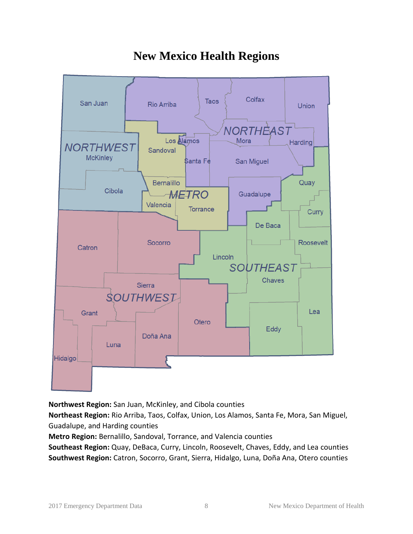<span id="page-7-0"></span>

#### **New Mexico Health Regions**

**Northwest Region:** San Juan, McKinley, and Cibola counties

**Northeast Region:** Rio Arriba, Taos, Colfax, Union, Los Alamos, Santa Fe, Mora, San Miguel, Guadalupe, and Harding counties

**Metro Region:** Bernalillo, Sandoval, Torrance, and Valencia counties

**Southeast Region:** Quay, DeBaca, Curry, Lincoln, Roosevelt, Chaves, Eddy, and Lea counties **Southwest Region:** Catron, Socorro, Grant, Sierra, Hidalgo, Luna, Doña Ana, Otero counties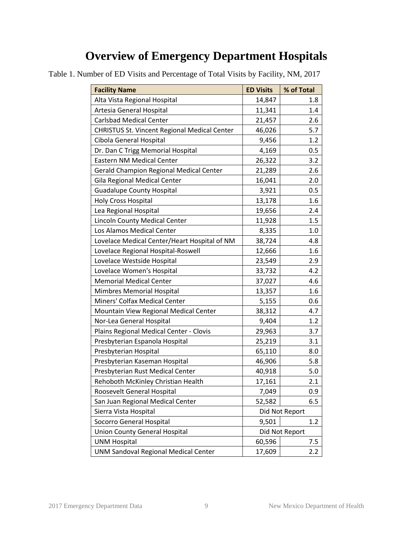#### **Overview of Emergency Department Hospitals**

| <b>Facility Name</b>                           | <b>ED Visits</b> | % of Total     |
|------------------------------------------------|------------------|----------------|
| Alta Vista Regional Hospital                   | 14,847           | 1.8            |
| Artesia General Hospital                       | 11,341           | 1.4            |
| <b>Carlsbad Medical Center</b>                 | 21,457           | 2.6            |
| CHRISTUS St. Vincent Regional Medical Center   | 46,026           | 5.7            |
| Cibola General Hospital                        | 9,456            | 1.2            |
| Dr. Dan C Trigg Memorial Hospital              | 4,169            | 0.5            |
| <b>Eastern NM Medical Center</b>               | 26,322           | 3.2            |
| <b>Gerald Champion Regional Medical Center</b> | 21,289           | 2.6            |
| Gila Regional Medical Center                   | 16,041           | 2.0            |
| <b>Guadalupe County Hospital</b>               | 3,921            | 0.5            |
| <b>Holy Cross Hospital</b>                     | 13,178           | 1.6            |
| Lea Regional Hospital                          | 19,656           | 2.4            |
| Lincoln County Medical Center                  | 11,928           | 1.5            |
| Los Alamos Medical Center                      | 8,335            | 1.0            |
| Lovelace Medical Center/Heart Hospital of NM   | 38,724           | 4.8            |
| Lovelace Regional Hospital-Roswell             | 12,666           | 1.6            |
| Lovelace Westside Hospital                     | 23,549           | 2.9            |
| Lovelace Women's Hospital                      | 33,732           | 4.2            |
| <b>Memorial Medical Center</b>                 | 37,027           | 4.6            |
| Mimbres Memorial Hospital                      | 13,357           | 1.6            |
| Miners' Colfax Medical Center                  | 5,155            | 0.6            |
| Mountain View Regional Medical Center          | 38,312           | 4.7            |
| Nor-Lea General Hospital                       | 9,404            | 1.2            |
| Plains Regional Medical Center - Clovis        | 29,963           | 3.7            |
| Presbyterian Espanola Hospital                 | 25,219           | 3.1            |
| Presbyterian Hospital                          | 65,110           | 8.0            |
| Presbyterian Kaseman Hospital                  | 46,906           | 5.8            |
| Presbyterian Rust Medical Center               | 40,918           | 5.0            |
| Rehoboth McKinley Christian Health             | 17,161           | 2.1            |
| Roosevelt General Hospital                     | 7,049            | 0.9            |
| San Juan Regional Medical Center               | 52,582           | 6.5            |
| Sierra Vista Hospital                          |                  | Did Not Report |
| Socorro General Hospital                       | 9,501            | 1.2            |
| <b>Union County General Hospital</b>           |                  | Did Not Report |
| <b>UNM Hospital</b>                            | 60,596           | 7.5            |
| <b>UNM Sandoval Regional Medical Center</b>    | 17,609           | 2.2            |

<span id="page-8-1"></span><span id="page-8-0"></span>Table 1. Number of ED Visits and Percentage of Total Visits by Facility, NM, 2017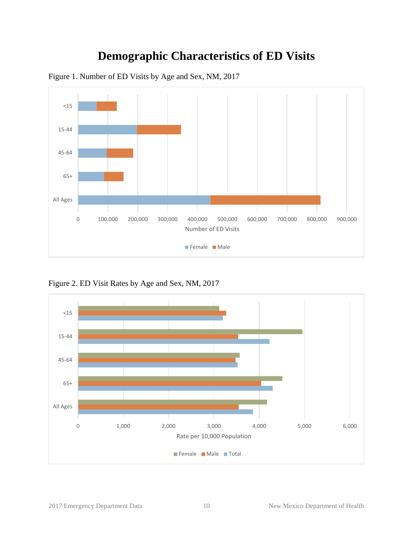#### **Demographic Characteristics of ED Visits**



<span id="page-9-1"></span><span id="page-9-0"></span>Figure 1. Number of ED Visits by Age and Sex, NM, 2017

<span id="page-9-2"></span>Figure 2. ED Visit Rates by Age and Sex, NM, 2017

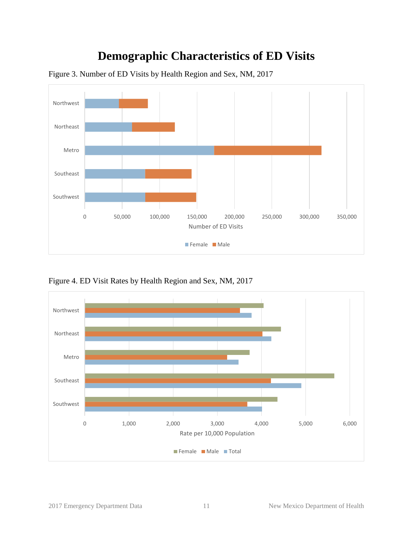#### **Demographic Characteristics of ED Visits**



<span id="page-10-0"></span>Figure 3. Number of ED Visits by Health Region and Sex, NM, 2017

<span id="page-10-1"></span>Figure 4. ED Visit Rates by Health Region and Sex, NM, 2017

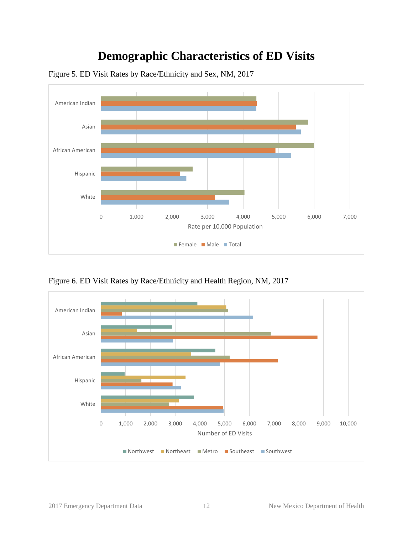#### **Demographic Characteristics of ED Visits**



<span id="page-11-0"></span>Figure 5. ED Visit Rates by Race/Ethnicity and Sex, NM, 2017

<span id="page-11-1"></span>Figure 6. ED Visit Rates by Race/Ethnicity and Health Region, NM, 2017

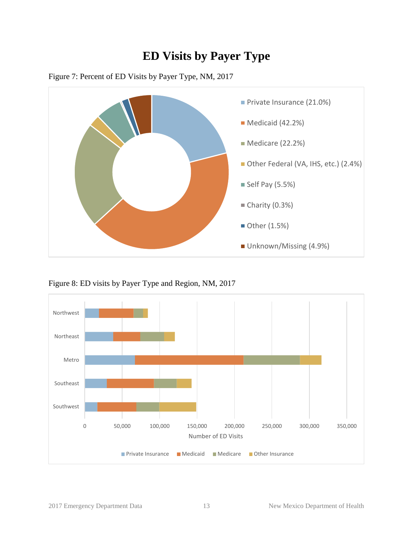#### **ED Visits by Payer Type**



<span id="page-12-1"></span><span id="page-12-0"></span>

<span id="page-12-2"></span>Figure 8: ED visits by Payer Type and Region, NM, 2017

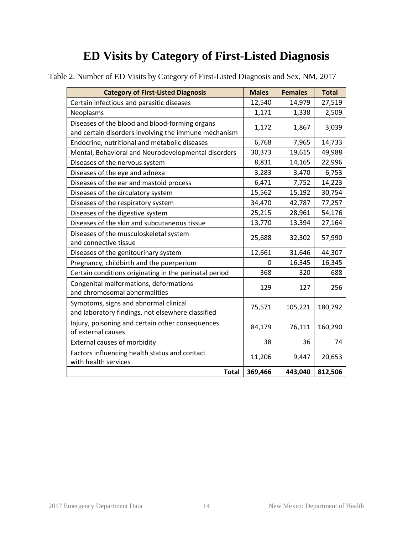| <b>Category of First-Listed Diagnosis</b>                                                              | <b>Males</b> | <b>Females</b> | <b>Total</b> |
|--------------------------------------------------------------------------------------------------------|--------------|----------------|--------------|
| Certain infectious and parasitic diseases                                                              | 12,540       | 14,979         | 27,519       |
| Neoplasms                                                                                              | 1,171        | 1,338          | 2,509        |
| Diseases of the blood and blood-forming organs<br>and certain disorders involving the immune mechanism | 1,172        | 1,867          | 3,039        |
| Endocrine, nutritional and metabolic diseases                                                          | 6,768        | 7,965          | 14,733       |
| Mental, Behavioral and Neurodevelopmental disorders                                                    | 30,373       | 19,615         | 49,988       |
| Diseases of the nervous system                                                                         | 8,831        | 14,165         | 22,996       |
| Diseases of the eye and adnexa                                                                         | 3,283        | 3,470          | 6,753        |
| Diseases of the ear and mastoid process                                                                | 6,471        | 7,752          | 14,223       |
| Diseases of the circulatory system                                                                     | 15,562       | 15,192         | 30,754       |
| Diseases of the respiratory system                                                                     | 34,470       | 42,787         | 77,257       |
| Diseases of the digestive system                                                                       | 25,215       | 28,961         | 54,176       |
| Diseases of the skin and subcutaneous tissue                                                           | 13,770       | 13,394         | 27,164       |
| Diseases of the musculoskeletal system<br>and connective tissue                                        | 25,688       | 32,302         | 57,990       |
| Diseases of the genitourinary system                                                                   | 12,661       | 31,646         | 44,307       |
| Pregnancy, childbirth and the puerperium                                                               | 0            | 16,345         | 16,345       |
| Certain conditions originating in the perinatal period                                                 | 368          | 320            | 688          |
| Congenital malformations, deformations<br>and chromosomal abnormalities                                | 129          | 127            | 256          |
| Symptoms, signs and abnormal clinical<br>and laboratory findings, not elsewhere classified             | 75,571       | 105,221        | 180,792      |
| Injury, poisoning and certain other consequences<br>of external causes                                 | 84,179       | 76,111         | 160,290      |
| External causes of morbidity                                                                           | 38           | 36             | 74           |
| Factors influencing health status and contact<br>with health services                                  | 11,206       | 9,447          | 20,653       |
| <b>Total</b>                                                                                           | 369,466      | 443,040        | 812,506      |

<span id="page-13-1"></span><span id="page-13-0"></span>Table 2. Number of ED Visits by Category of First-Listed Diagnosis and Sex, NM, 2017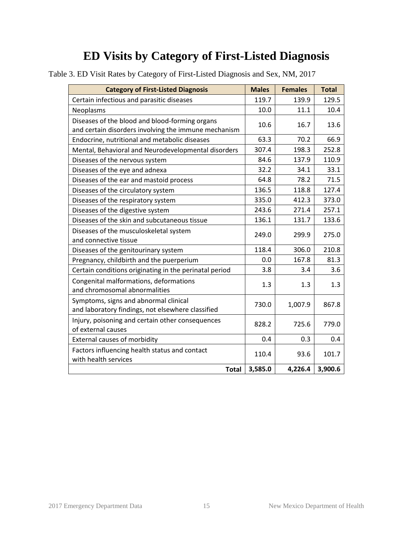| <b>Category of First-Listed Diagnosis</b>                                                              | <b>Males</b> | <b>Females</b> | <b>Total</b> |
|--------------------------------------------------------------------------------------------------------|--------------|----------------|--------------|
| Certain infectious and parasitic diseases                                                              | 119.7        | 139.9          | 129.5        |
| Neoplasms                                                                                              | 10.0         | 11.1           | 10.4         |
| Diseases of the blood and blood-forming organs<br>and certain disorders involving the immune mechanism | 10.6         | 16.7           | 13.6         |
| Endocrine, nutritional and metabolic diseases                                                          | 63.3         | 70.2           | 66.9         |
| Mental, Behavioral and Neurodevelopmental disorders                                                    | 307.4        | 198.3          | 252.8        |
| Diseases of the nervous system                                                                         | 84.6         | 137.9          | 110.9        |
| Diseases of the eye and adnexa                                                                         | 32.2         | 34.1           | 33.1         |
| Diseases of the ear and mastoid process                                                                | 64.8         | 78.2           | 71.5         |
| Diseases of the circulatory system                                                                     | 136.5        | 118.8          | 127.4        |
| Diseases of the respiratory system                                                                     | 335.0        | 412.3          | 373.0        |
| Diseases of the digestive system                                                                       | 243.6        | 271.4          | 257.1        |
| Diseases of the skin and subcutaneous tissue                                                           | 136.1        | 131.7          | 133.6        |
| Diseases of the musculoskeletal system<br>and connective tissue                                        | 249.0        | 299.9          | 275.0        |
| Diseases of the genitourinary system                                                                   | 118.4        | 306.0          | 210.8        |
| Pregnancy, childbirth and the puerperium                                                               | 0.0          | 167.8          | 81.3         |
| Certain conditions originating in the perinatal period                                                 | 3.8          | 3.4            | 3.6          |
| Congenital malformations, deformations<br>and chromosomal abnormalities                                | 1.3          | 1.3            | 1.3          |
| Symptoms, signs and abnormal clinical<br>and laboratory findings, not elsewhere classified             | 730.0        | 1,007.9        | 867.8        |
| Injury, poisoning and certain other consequences<br>of external causes                                 | 828.2        | 725.6          | 779.0        |
| External causes of morbidity                                                                           | 0.4          | 0.3            | 0.4          |
| Factors influencing health status and contact<br>with health services                                  | 110.4        | 93.6           | 101.7        |
| <b>Total</b>                                                                                           | 3,585.0      | 4,226.4        | 3,900.6      |

<span id="page-14-0"></span>Table 3. ED Visit Rates by Category of First-Listed Diagnosis and Sex, NM, 2017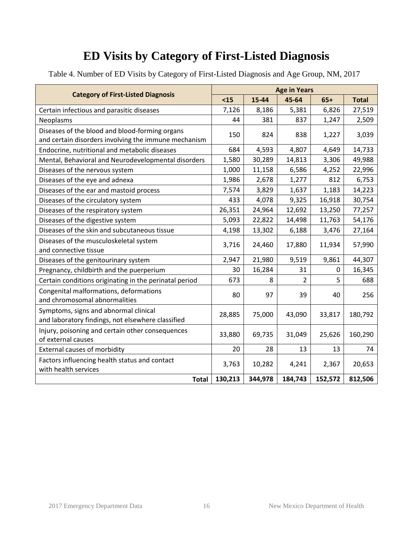<span id="page-15-0"></span>Table 4. Number of ED Visits by Category of First-Listed Diagnosis and Age Group, NM, 2017

|                                                                                                        | <b>Age in Years</b> |         |         |         |              |  |  |
|--------------------------------------------------------------------------------------------------------|---------------------|---------|---------|---------|--------------|--|--|
| <b>Category of First-Listed Diagnosis</b>                                                              | $15$                | 15-44   | 45-64   | $65+$   | <b>Total</b> |  |  |
| Certain infectious and parasitic diseases                                                              | 7,126               | 8,186   | 5,381   | 6,826   | 27,519       |  |  |
| Neoplasms                                                                                              | 44                  | 381     | 837     | 1,247   | 2,509        |  |  |
| Diseases of the blood and blood-forming organs<br>and certain disorders involving the immune mechanism | 150                 | 824     | 838     | 1,227   | 3,039        |  |  |
| Endocrine, nutritional and metabolic diseases                                                          | 684                 | 4,593   | 4,807   | 4,649   | 14,733       |  |  |
| Mental, Behavioral and Neurodevelopmental disorders                                                    | 1,580               | 30,289  | 14,813  | 3,306   | 49,988       |  |  |
| Diseases of the nervous system                                                                         | 1,000               | 11,158  | 6,586   | 4,252   | 22,996       |  |  |
| Diseases of the eye and adnexa                                                                         | 1,986               | 2,678   | 1,277   | 812     | 6,753        |  |  |
| Diseases of the ear and mastoid process                                                                | 7,574               | 3,829   | 1,637   | 1,183   | 14,223       |  |  |
| Diseases of the circulatory system                                                                     | 433                 | 4,078   | 9,325   | 16,918  | 30,754       |  |  |
| Diseases of the respiratory system                                                                     | 26,351              | 24,964  | 12,692  | 13,250  | 77,257       |  |  |
| Diseases of the digestive system                                                                       | 5,093               | 22,822  | 14,498  | 11,763  | 54,176       |  |  |
| Diseases of the skin and subcutaneous tissue                                                           | 4,198               | 13,302  | 6,188   | 3,476   | 27,164       |  |  |
| Diseases of the musculoskeletal system<br>and connective tissue                                        | 3,716               | 24,460  | 17,880  | 11,934  | 57,990       |  |  |
| Diseases of the genitourinary system                                                                   | 2,947               | 21,980  | 9,519   | 9,861   | 44,307       |  |  |
| Pregnancy, childbirth and the puerperium                                                               | 30                  | 16,284  | 31      | 0       | 16,345       |  |  |
| Certain conditions originating in the perinatal period                                                 | 673                 | 8       | 2       | 5       | 688          |  |  |
| Congenital malformations, deformations<br>and chromosomal abnormalities                                | 80                  | 97      | 39      | 40      | 256          |  |  |
| Symptoms, signs and abnormal clinical<br>and laboratory findings, not elsewhere classified             | 28,885              | 75,000  | 43,090  | 33,817  | 180,792      |  |  |
| Injury, poisoning and certain other consequences<br>of external causes                                 | 33,880              | 69,735  | 31,049  | 25,626  | 160,290      |  |  |
| <b>External causes of morbidity</b>                                                                    | 20                  | 28      | 13      | 13      | 74           |  |  |
| Factors influencing health status and contact<br>with health services                                  | 3,763               | 10,282  | 4,241   | 2,367   | 20,653       |  |  |
| <b>Total</b>                                                                                           | 130,213             | 344,978 | 184,743 | 152,572 | 812,506      |  |  |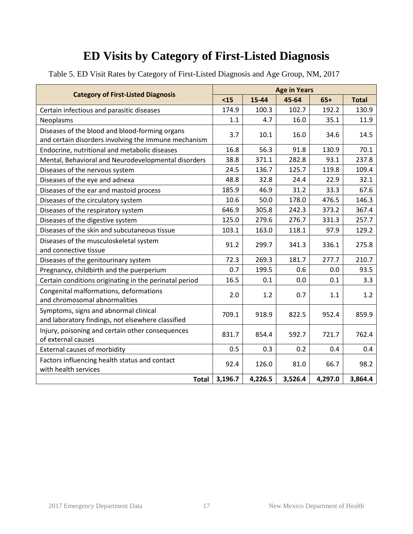|                                                                                            |         | <b>Age in Years</b> |         |         |              |  |  |  |
|--------------------------------------------------------------------------------------------|---------|---------------------|---------|---------|--------------|--|--|--|
| <b>Category of First-Listed Diagnosis</b>                                                  | $15$    | 15-44               | 45-64   | $65+$   | <b>Total</b> |  |  |  |
| Certain infectious and parasitic diseases                                                  | 174.9   | 100.3               | 102.7   | 192.2   | 130.9        |  |  |  |
| Neoplasms                                                                                  | 1.1     | 4.7                 | 16.0    | 35.1    | 11.9         |  |  |  |
| Diseases of the blood and blood-forming organs                                             | 3.7     | 10.1                | 16.0    | 34.6    | 14.5         |  |  |  |
| and certain disorders involving the immune mechanism                                       |         |                     |         |         |              |  |  |  |
| Endocrine, nutritional and metabolic diseases                                              | 16.8    | 56.3                | 91.8    | 130.9   | 70.1         |  |  |  |
| Mental, Behavioral and Neurodevelopmental disorders                                        | 38.8    | 371.1               | 282.8   | 93.1    | 237.8        |  |  |  |
| Diseases of the nervous system                                                             | 24.5    | 136.7               | 125.7   | 119.8   | 109.4        |  |  |  |
| Diseases of the eye and adnexa                                                             | 48.8    | 32.8                | 24.4    | 22.9    | 32.1         |  |  |  |
| Diseases of the ear and mastoid process                                                    | 185.9   | 46.9                | 31.2    | 33.3    | 67.6         |  |  |  |
| Diseases of the circulatory system                                                         | 10.6    | 50.0                | 178.0   | 476.5   | 146.3        |  |  |  |
| Diseases of the respiratory system                                                         | 646.9   | 305.8               | 242.3   | 373.2   | 367.4        |  |  |  |
| Diseases of the digestive system                                                           | 125.0   | 279.6               | 276.7   | 331.3   | 257.7        |  |  |  |
| Diseases of the skin and subcutaneous tissue                                               | 103.1   | 163.0               | 118.1   | 97.9    | 129.2        |  |  |  |
| Diseases of the musculoskeletal system<br>and connective tissue                            | 91.2    | 299.7               | 341.3   | 336.1   | 275.8        |  |  |  |
| Diseases of the genitourinary system                                                       | 72.3    | 269.3               | 181.7   | 277.7   | 210.7        |  |  |  |
| Pregnancy, childbirth and the puerperium                                                   | 0.7     | 199.5               | 0.6     | 0.0     | 93.5         |  |  |  |
| Certain conditions originating in the perinatal period                                     | 16.5    | 0.1                 | 0.0     | 0.1     | 3.3          |  |  |  |
| Congenital malformations, deformations<br>and chromosomal abnormalities                    | 2.0     | 1.2                 | 0.7     | 1.1     | 1.2          |  |  |  |
| Symptoms, signs and abnormal clinical<br>and laboratory findings, not elsewhere classified | 709.1   | 918.9               | 822.5   | 952.4   | 859.9        |  |  |  |
| Injury, poisoning and certain other consequences<br>of external causes                     | 831.7   | 854.4               | 592.7   | 721.7   | 762.4        |  |  |  |
| External causes of morbidity                                                               | 0.5     | 0.3                 | 0.2     | 0.4     | 0.4          |  |  |  |
| Factors influencing health status and contact<br>with health services                      | 92.4    | 126.0               | 81.0    | 66.7    | 98.2         |  |  |  |
| <b>Total</b>                                                                               | 3,196.7 | 4,226.5             | 3,526.4 | 4,297.0 | 3,864.4      |  |  |  |

<span id="page-16-0"></span>Table 5. ED Visit Rates by Category of First-Listed Diagnosis and Age Group, NM, 2017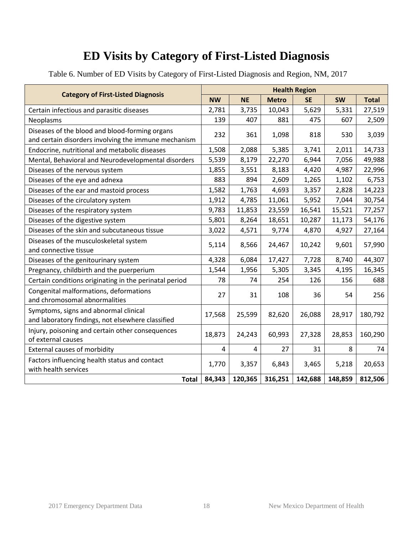<span id="page-17-0"></span>Table 6. Number of ED Visits by Category of First-Listed Diagnosis and Region, NM, 2017

|                                                                                                        | <b>Health Region</b> |           |              |           |           |              |  |
|--------------------------------------------------------------------------------------------------------|----------------------|-----------|--------------|-----------|-----------|--------------|--|
| <b>Category of First-Listed Diagnosis</b>                                                              | <b>NW</b>            | <b>NE</b> | <b>Metro</b> | <b>SE</b> | <b>SW</b> | <b>Total</b> |  |
| Certain infectious and parasitic diseases                                                              | 2,781                | 3,735     | 10,043       | 5,629     | 5,331     | 27,519       |  |
| Neoplasms                                                                                              | 139                  | 407       | 881          | 475       | 607       | 2,509        |  |
| Diseases of the blood and blood-forming organs<br>and certain disorders involving the immune mechanism | 232                  | 361       | 1,098        | 818       | 530       | 3,039        |  |
| Endocrine, nutritional and metabolic diseases                                                          | 1,508                | 2,088     | 5,385        | 3,741     | 2,011     | 14,733       |  |
| Mental, Behavioral and Neurodevelopmental disorders                                                    | 5,539                | 8,179     | 22,270       | 6,944     | 7,056     | 49,988       |  |
| Diseases of the nervous system                                                                         | 1,855                | 3,551     | 8,183        | 4,420     | 4,987     | 22,996       |  |
| Diseases of the eye and adnexa                                                                         | 883                  | 894       | 2,609        | 1,265     | 1,102     | 6,753        |  |
| Diseases of the ear and mastoid process                                                                | 1,582                | 1,763     | 4,693        | 3,357     | 2,828     | 14,223       |  |
| Diseases of the circulatory system                                                                     | 1,912                | 4,785     | 11,061       | 5,952     | 7,044     | 30,754       |  |
| Diseases of the respiratory system                                                                     |                      | 11,853    | 23,559       | 16,541    | 15,521    | 77,257       |  |
| Diseases of the digestive system                                                                       | 5,801                | 8,264     | 18,651       | 10,287    | 11,173    | 54,176       |  |
| Diseases of the skin and subcutaneous tissue                                                           |                      | 4,571     | 9,774        | 4,870     | 4,927     | 27,164       |  |
| Diseases of the musculoskeletal system<br>and connective tissue                                        | 5,114                | 8,566     | 24,467       | 10,242    | 9,601     | 57,990       |  |
| Diseases of the genitourinary system                                                                   | 4,328                | 6,084     | 17,427       | 7,728     | 8,740     | 44,307       |  |
| Pregnancy, childbirth and the puerperium                                                               | 1,544                | 1,956     | 5,305        | 3,345     | 4,195     | 16,345       |  |
| Certain conditions originating in the perinatal period                                                 | 78                   | 74        | 254          | 126       | 156       | 688          |  |
| Congenital malformations, deformations<br>and chromosomal abnormalities                                | 27                   | 31        | 108          | 36        | 54        | 256          |  |
| Symptoms, signs and abnormal clinical<br>and laboratory findings, not elsewhere classified             | 17,568               | 25,599    | 82,620       | 26,088    | 28,917    | 180,792      |  |
| Injury, poisoning and certain other consequences<br>of external causes                                 | 18,873               | 24,243    | 60,993       | 27,328    | 28,853    | 160,290      |  |
| <b>External causes of morbidity</b>                                                                    | 4                    | 4         | 27           | 31        | 8         | 74           |  |
| Factors influencing health status and contact<br>with health services                                  | 1,770                | 3,357     | 6,843        | 3,465     | 5,218     | 20,653       |  |
| <b>Total</b>                                                                                           | 84,343               | 120,365   | 316,251      | 142,688   | 148,859   | 812,506      |  |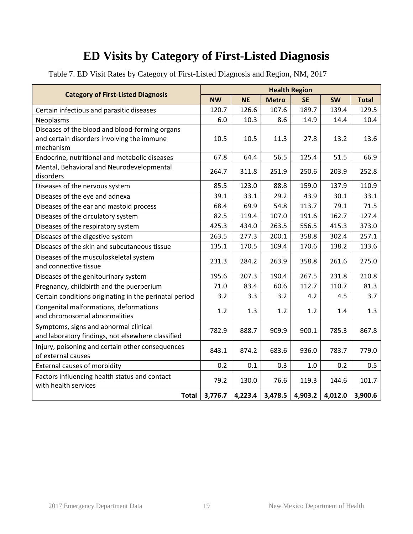<span id="page-18-0"></span>

|  |  |  | Table 7. ED Visit Rates by Category of First-Listed Diagnosis and Region, NM, 2017 |  |
|--|--|--|------------------------------------------------------------------------------------|--|
|  |  |  |                                                                                    |  |

|                                                                                            | <b>Health Region</b> |           |              |           |           |              |  |
|--------------------------------------------------------------------------------------------|----------------------|-----------|--------------|-----------|-----------|--------------|--|
| <b>Category of First-Listed Diagnosis</b>                                                  | <b>NW</b>            | <b>NE</b> | <b>Metro</b> | <b>SE</b> | <b>SW</b> | <b>Total</b> |  |
| Certain infectious and parasitic diseases                                                  | 120.7                | 126.6     | 107.6        | 189.7     | 139.4     | 129.5        |  |
| Neoplasms                                                                                  | 6.0                  | 10.3      | 8.6          | 14.9      | 14.4      | 10.4         |  |
| Diseases of the blood and blood-forming organs                                             |                      |           |              |           |           |              |  |
| and certain disorders involving the immune                                                 | 10.5                 | 10.5      | 11.3         | 27.8      | 13.2      | 13.6         |  |
| mechanism                                                                                  |                      |           |              |           |           |              |  |
| Endocrine, nutritional and metabolic diseases                                              | 67.8                 | 64.4      | 56.5         | 125.4     | 51.5      | 66.9         |  |
| Mental, Behavioral and Neurodevelopmental<br>disorders                                     | 264.7                | 311.8     | 251.9        | 250.6     | 203.9     | 252.8        |  |
| Diseases of the nervous system                                                             | 85.5                 | 123.0     | 88.8         | 159.0     | 137.9     | 110.9        |  |
| Diseases of the eye and adnexa                                                             | 39.1                 | 33.1      | 29.2         | 43.9      | 30.1      | 33.1         |  |
| Diseases of the ear and mastoid process                                                    | 68.4                 | 69.9      | 54.8         | 113.7     | 79.1      | 71.5         |  |
| Diseases of the circulatory system                                                         | 82.5                 | 119.4     | 107.0        | 191.6     | 162.7     | 127.4        |  |
| Diseases of the respiratory system                                                         | 425.3                | 434.0     | 263.5        | 556.5     | 415.3     | 373.0        |  |
| Diseases of the digestive system                                                           | 263.5                | 277.3     | 200.1        | 358.8     | 302.4     | 257.1        |  |
| Diseases of the skin and subcutaneous tissue                                               | 135.1                | 170.5     | 109.4        | 170.6     | 138.2     | 133.6        |  |
| Diseases of the musculoskeletal system                                                     | 231.3                | 284.2     | 263.9        | 358.8     | 261.6     | 275.0        |  |
| and connective tissue                                                                      |                      |           |              |           |           |              |  |
| Diseases of the genitourinary system                                                       | 195.6                | 207.3     | 190.4        | 267.5     | 231.8     | 210.8        |  |
| Pregnancy, childbirth and the puerperium                                                   | 71.0                 | 83.4      | 60.6         | 112.7     | 110.7     | 81.3         |  |
| Certain conditions originating in the perinatal period                                     | 3.2                  | 3.3       | 3.2          | 4.2       | 4.5       | 3.7          |  |
| Congenital malformations, deformations<br>and chromosomal abnormalities                    | 1.2                  | 1.3       | 1.2          | 1.2       | 1.4       | 1.3          |  |
| Symptoms, signs and abnormal clinical<br>and laboratory findings, not elsewhere classified | 782.9                | 888.7     | 909.9        | 900.1     | 785.3     | 867.8        |  |
| Injury, poisoning and certain other consequences<br>of external causes                     | 843.1                | 874.2     | 683.6        | 936.0     | 783.7     | 779.0        |  |
| <b>External causes of morbidity</b>                                                        | 0.2                  | 0.1       | 0.3          | 1.0       | 0.2       | 0.5          |  |
| Factors influencing health status and contact<br>with health services                      | 79.2                 | 130.0     | 76.6         | 119.3     | 144.6     | 101.7        |  |
| <b>Total</b>                                                                               | 3,776.7              | 4,223.4   | 3,478.5      | 4,903.2   | 4,012.0   | 3,900.6      |  |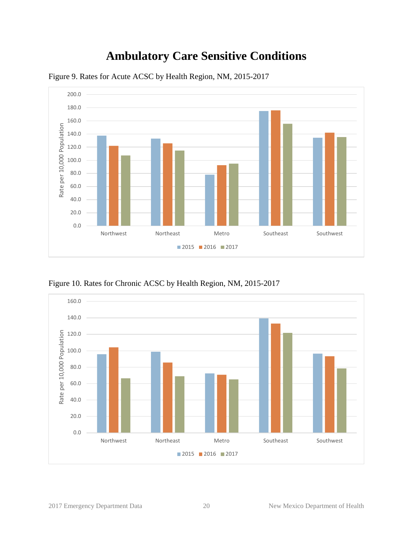#### **Ambulatory Care Sensitive Conditions**



<span id="page-19-1"></span><span id="page-19-0"></span>Figure 9. Rates for Acute ACSC by Health Region, NM, 2015-2017

<span id="page-19-2"></span>Figure 10. Rates for Chronic ACSC by Health Region, NM, 2015-2017